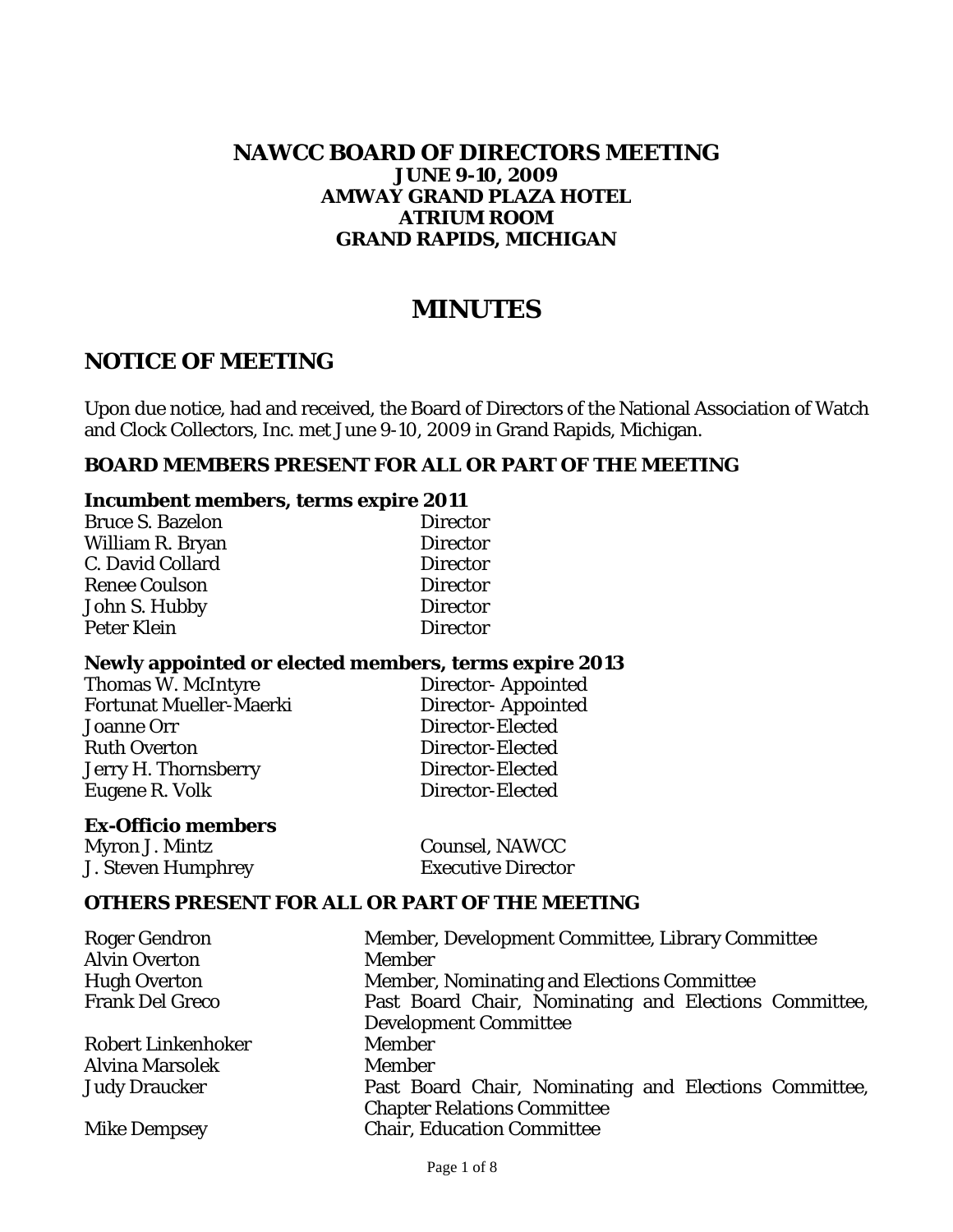#### **NAWCC BOARD OF DIRECTORS MEETING JUNE 9-10, 2009 AMWAY GRAND PLAZA HOTEL ATRIUM ROOM GRAND RAPIDS, MICHIGAN**

# **MINUTES**

# **NOTICE OF MEETING**

Upon due notice, had and received, the Board of Directors of the National Association of Watch and Clock Collectors, Inc. met June 9-10, 2009 in Grand Rapids, Michigan.

> Director-Appointed Director-Appointed Director-Elected Director-Elected Director-Elected Director-Elected

#### **BOARD MEMBERS PRESENT FOR ALL OR PART OF THE MEETING**

#### **Incumbent members, terms expire 2011**

| <b>Bruce S. Bazelon</b> | <b>Director</b> |
|-------------------------|-----------------|
| William R. Bryan        | <b>Director</b> |
| C. David Collard        | <b>Director</b> |
| <b>Renee Coulson</b>    | <b>Director</b> |
| John S. Hubby           | <b>Director</b> |
| Peter Klein             | <b>Director</b> |

#### **Newly appointed or elected members, terms expire 2013**

| <b>Thomas W. McIntyre</b>      |
|--------------------------------|
| <b>Fortunat Mueller-Maerki</b> |
| <b>Joanne Orr</b>              |
| <b>Ruth Overton</b>            |
| Jerry H. Thornsberry           |
| Eugene R. Volk                 |
|                                |

#### **Ex-Officio members**

Myron J. Mintz Counsel, NAWCC J. Steven Humphrey Executive Director

#### **OTHERS PRESENT FOR ALL OR PART OF THE MEETING**

| <b>Roger Gendron</b>      | Member, Development Committee, Library Committee      |  |
|---------------------------|-------------------------------------------------------|--|
| <b>Alvin Overton</b>      | <b>Member</b>                                         |  |
| <b>Hugh Overton</b>       | Member, Nominating and Elections Committee            |  |
| <b>Frank Del Greco</b>    | Past Board Chair, Nominating and Elections Committee, |  |
|                           | <b>Development Committee</b>                          |  |
| <b>Robert Linkenhoker</b> | <b>Member</b>                                         |  |
| <b>Alvina Marsolek</b>    | <b>Member</b>                                         |  |
| <b>Judy Draucker</b>      | Past Board Chair, Nominating and Elections Committee, |  |
|                           | <b>Chapter Relations Committee</b>                    |  |
| <b>Mike Dempsey</b>       | <b>Chair, Education Committee</b>                     |  |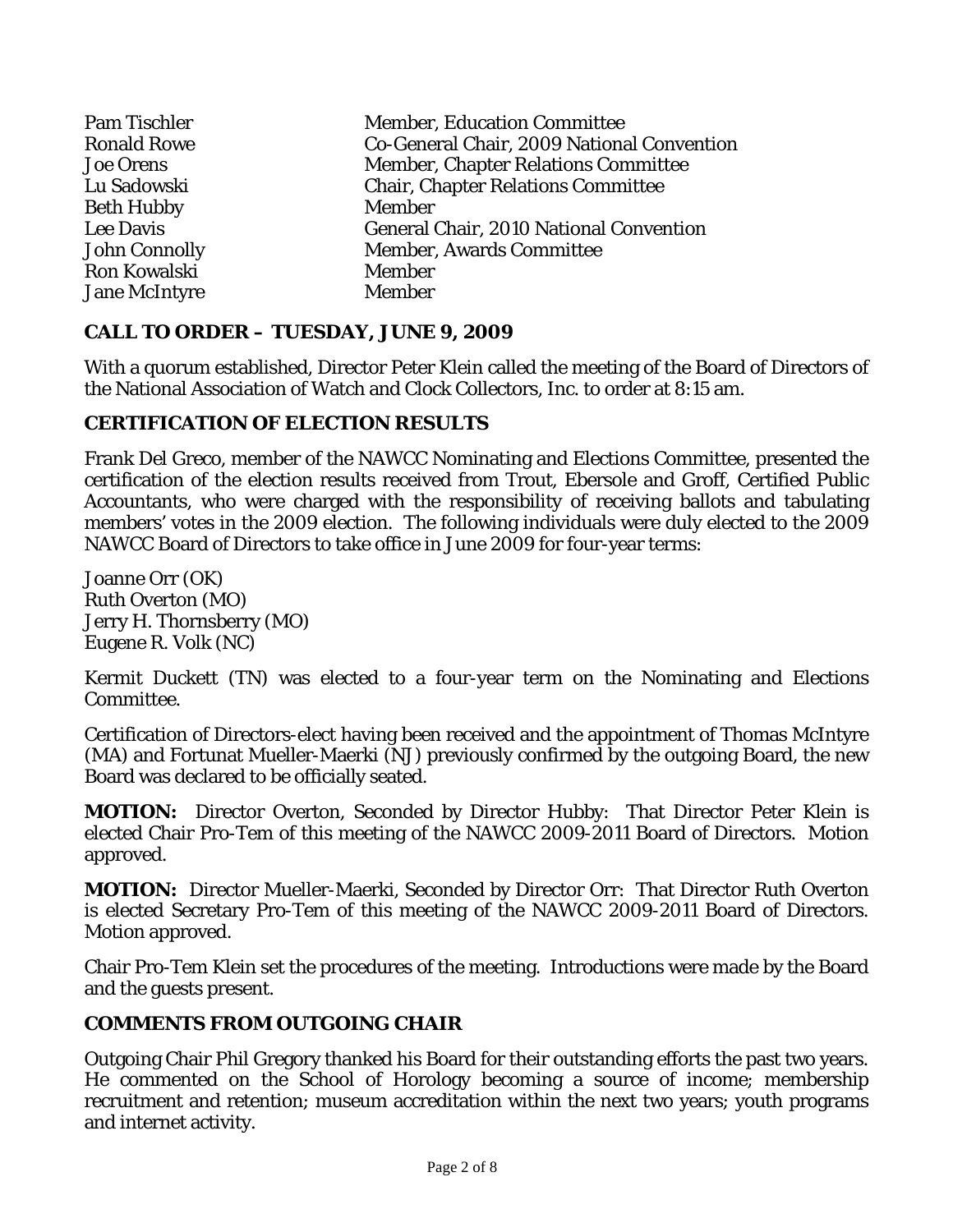| <b>Pam Tischler</b>  | <b>Member, Education Committee</b>             |
|----------------------|------------------------------------------------|
| <b>Ronald Rowe</b>   | Co-General Chair, 2009 National Convention     |
| <b>Joe Orens</b>     | <b>Member, Chapter Relations Committee</b>     |
| Lu Sadowski          | <b>Chair, Chapter Relations Committee</b>      |
| <b>Beth Hubby</b>    | <b>Member</b>                                  |
| Lee Davis            | <b>General Chair, 2010 National Convention</b> |
| <b>John Connolly</b> | <b>Member, Awards Committee</b>                |
| Ron Kowalski         | Member                                         |
| <b>Jane McIntyre</b> | <b>Member</b>                                  |

## **CALL TO ORDER – TUESDAY, JUNE 9, 2009**

With a quorum established, Director Peter Klein called the meeting of the Board of Directors of the National Association of Watch and Clock Collectors, Inc. to order at 8:15 am.

# **CERTIFICATION OF ELECTION RESULTS**

Frank Del Greco, member of the NAWCC Nominating and Elections Committee, presented the certification of the election results received from Trout, Ebersole and Groff, Certified Public Accountants, who were charged with the responsibility of receiving ballots and tabulating members' votes in the 2009 election. The following individuals were duly elected to the 2009 NAWCC Board of Directors to take office in June 2009 for four-year terms:

Joanne Orr (OK) Ruth Overton (MO) Jerry H. Thornsberry (MO) Eugene R. Volk (NC)

Kermit Duckett (TN) was elected to a four-year term on the Nominating and Elections Committee.

Certification of Directors-elect having been received and the appointment of Thomas McIntyre (MA) and Fortunat Mueller-Maerki (NJ) previously confirmed by the outgoing Board, the new Board was declared to be officially seated.

**MOTION:** Director Overton, Seconded by Director Hubby: That Director Peter Klein is elected Chair Pro-Tem of this meeting of the NAWCC 2009-2011 Board of Directors. Motion approved.

**MOTION:** Director Mueller-Maerki, Seconded by Director Orr: That Director Ruth Overton is elected Secretary Pro-Tem of this meeting of the NAWCC 2009-2011 Board of Directors. Motion approved.

Chair Pro-Tem Klein set the procedures of the meeting. Introductions were made by the Board and the guests present.

## **COMMENTS FROM OUTGOING CHAIR**

Outgoing Chair Phil Gregory thanked his Board for their outstanding efforts the past two years. He commented on the School of Horology becoming a source of income; membership recruitment and retention; museum accreditation within the next two years; youth programs and internet activity.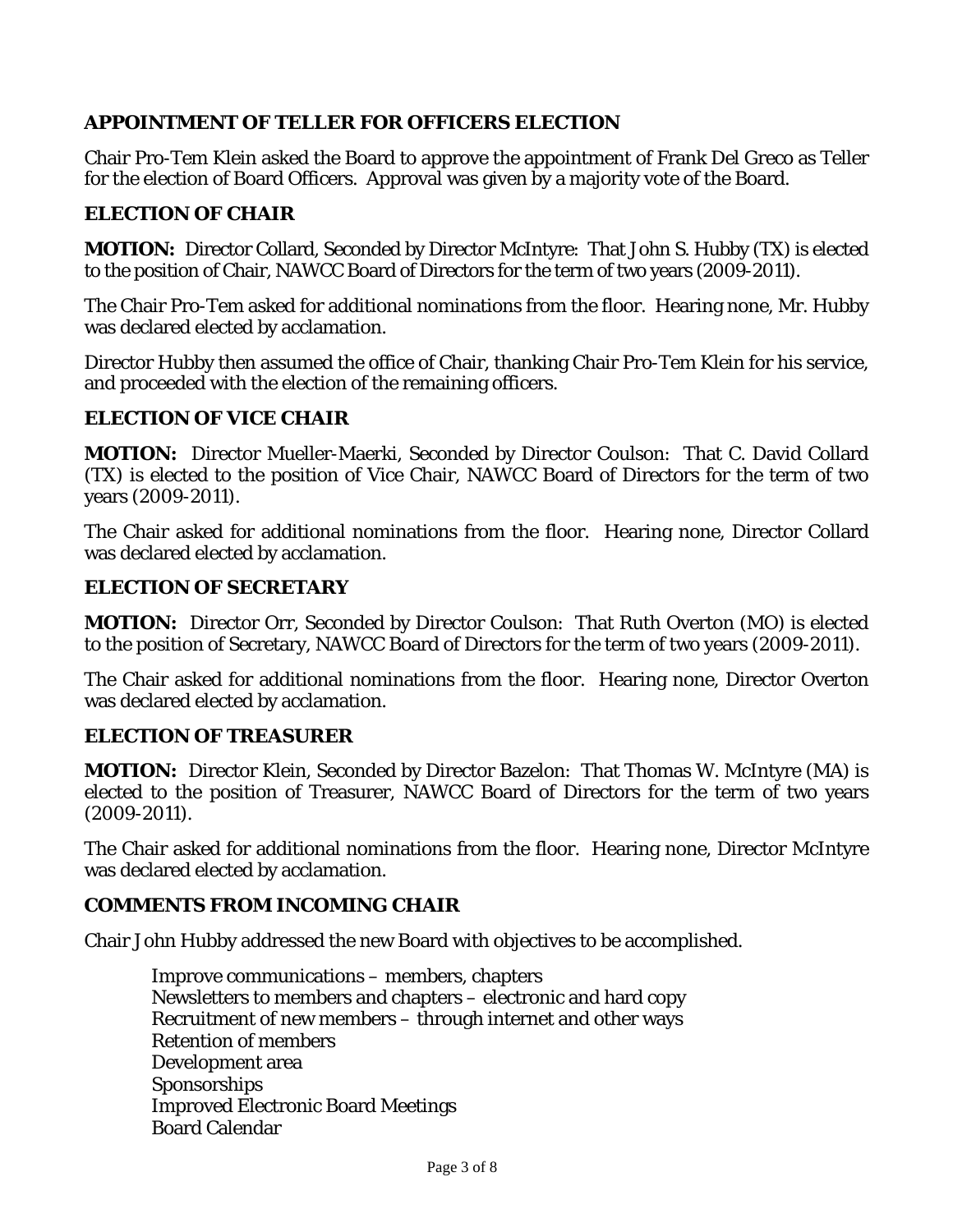# **APPOINTMENT OF TELLER FOR OFFICERS ELECTION**

Chair Pro-Tem Klein asked the Board to approve the appointment of Frank Del Greco as Teller for the election of Board Officers. Approval was given by a majority vote of the Board.

## **ELECTION OF CHAIR**

**MOTION:** Director Collard, Seconded by Director McIntyre: That John S. Hubby (TX) is elected to the position of Chair, NAWCC Board of Directors for the term of two years (2009-2011).

The Chair Pro-Tem asked for additional nominations from the floor. Hearing none, Mr. Hubby was declared elected by acclamation.

Director Hubby then assumed the office of Chair, thanking Chair Pro-Tem Klein for his service, and proceeded with the election of the remaining officers.

## **ELECTION OF VICE CHAIR**

**MOTION:** Director Mueller-Maerki, Seconded by Director Coulson: That C. David Collard (TX) is elected to the position of Vice Chair, NAWCC Board of Directors for the term of two years (2009-2011).

The Chair asked for additional nominations from the floor. Hearing none, Director Collard was declared elected by acclamation.

#### **ELECTION OF SECRETARY**

**MOTION:** Director Orr, Seconded by Director Coulson: That Ruth Overton (MO) is elected to the position of Secretary, NAWCC Board of Directors for the term of two years (2009-2011).

The Chair asked for additional nominations from the floor. Hearing none, Director Overton was declared elected by acclamation.

## **ELECTION OF TREASURER**

**MOTION:** Director Klein, Seconded by Director Bazelon: That Thomas W. McIntyre (MA) is elected to the position of Treasurer, NAWCC Board of Directors for the term of two years (2009-2011).

The Chair asked for additional nominations from the floor. Hearing none, Director McIntyre was declared elected by acclamation.

## **COMMENTS FROM INCOMING CHAIR**

Chair John Hubby addressed the new Board with objectives to be accomplished.

 Improve communications – members, chapters Newsletters to members and chapters – electronic and hard copy Recruitment of new members – through internet and other ways Retention of members Development area Sponsorships Improved Electronic Board Meetings Board Calendar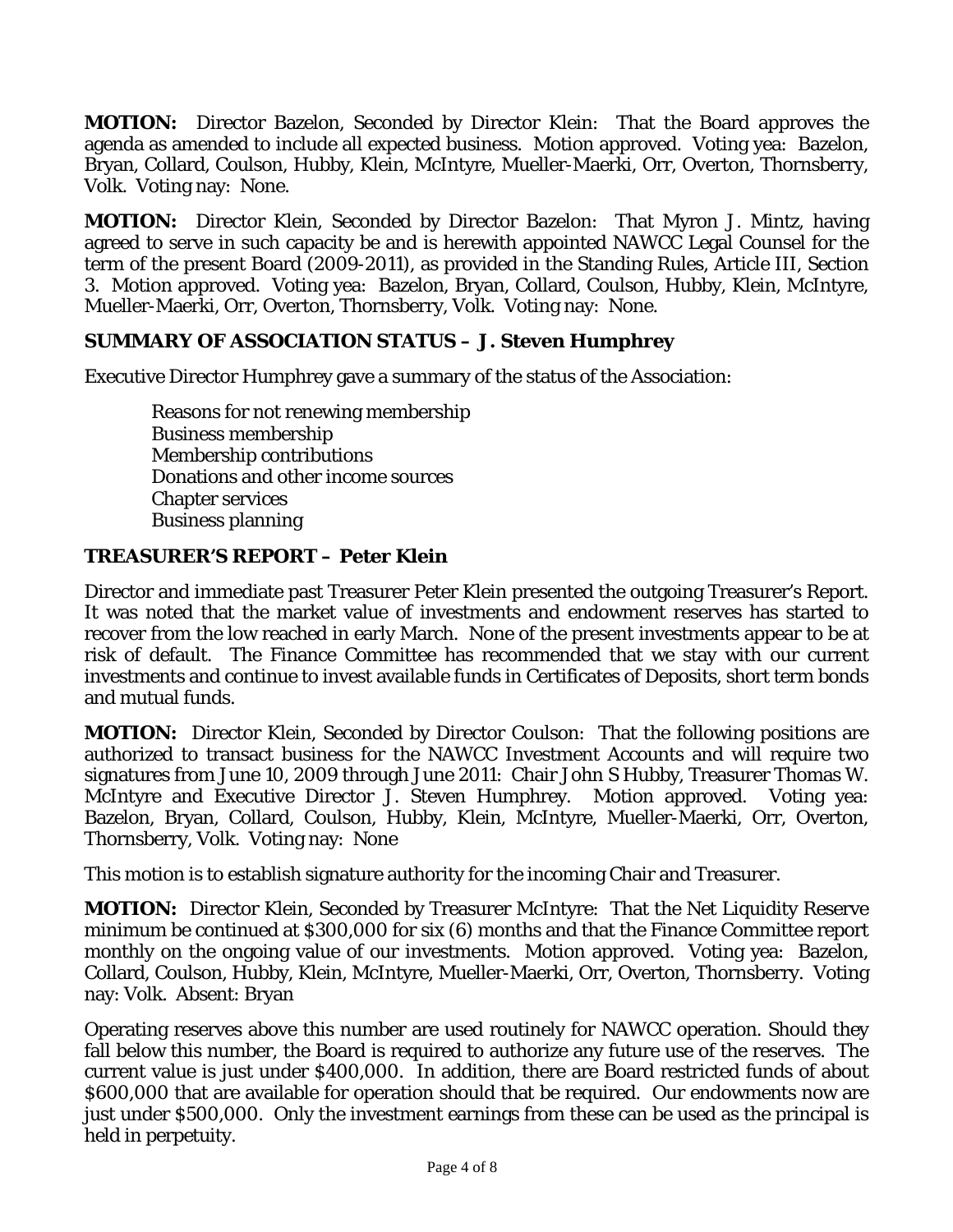**MOTION:** Director Bazelon, Seconded by Director Klein: That the Board approves the agenda as amended to include all expected business. Motion approved. Voting yea: Bazelon, Bryan, Collard, Coulson, Hubby, Klein, McIntyre, Mueller-Maerki, Orr, Overton, Thornsberry, Volk. Voting nay: None.

**MOTION:** Director Klein, Seconded by Director Bazelon: That Myron J. Mintz, having agreed to serve in such capacity be and is herewith appointed NAWCC Legal Counsel for the term of the present Board (2009-2011), as provided in the Standing Rules, Article III, Section 3. Motion approved. Voting yea: Bazelon, Bryan, Collard, Coulson, Hubby, Klein, McIntyre, Mueller-Maerki, Orr, Overton, Thornsberry, Volk. Voting nay: None.

## **SUMMARY OF ASSOCIATION STATUS – J. Steven Humphrey**

Executive Director Humphrey gave a summary of the status of the Association:

 Reasons for not renewing membership Business membership Membership contributions Donations and other income sources Chapter services Business planning

#### **TREASURER'S REPORT – Peter Klein**

Director and immediate past Treasurer Peter Klein presented the outgoing Treasurer's Report. It was noted that the market value of investments and endowment reserves has started to recover from the low reached in early March. None of the present investments appear to be at risk of default. The Finance Committee has recommended that we stay with our current investments and continue to invest available funds in Certificates of Deposits, short term bonds and mutual funds.

**MOTION:** Director Klein, Seconded by Director Coulson: That the following positions are authorized to transact business for the NAWCC Investment Accounts and will require two signatures from June 10, 2009 through June 2011: Chair John S Hubby, Treasurer Thomas W. McIntyre and Executive Director J. Steven Humphrey. Motion approved. Voting yea: Bazelon, Bryan, Collard, Coulson, Hubby, Klein, McIntyre, Mueller-Maerki, Orr, Overton, Thornsberry, Volk. Voting nay: None

This motion is to establish signature authority for the incoming Chair and Treasurer.

**MOTION:** Director Klein, Seconded by Treasurer McIntyre: That the Net Liquidity Reserve minimum be continued at \$300,000 for six (6) months and that the Finance Committee report monthly on the ongoing value of our investments. Motion approved. Voting yea: Bazelon, Collard, Coulson, Hubby, Klein, McIntyre, Mueller-Maerki, Orr, Overton, Thornsberry. Voting nay: Volk. Absent: Bryan

Operating reserves above this number are used routinely for NAWCC operation. Should they fall below this number, the Board is required to authorize any future use of the reserves. The current value is just under \$400,000. In addition, there are Board restricted funds of about \$600,000 that are available for operation should that be required. Our endowments now are just under \$500,000. Only the investment earnings from these can be used as the principal is held in perpetuity.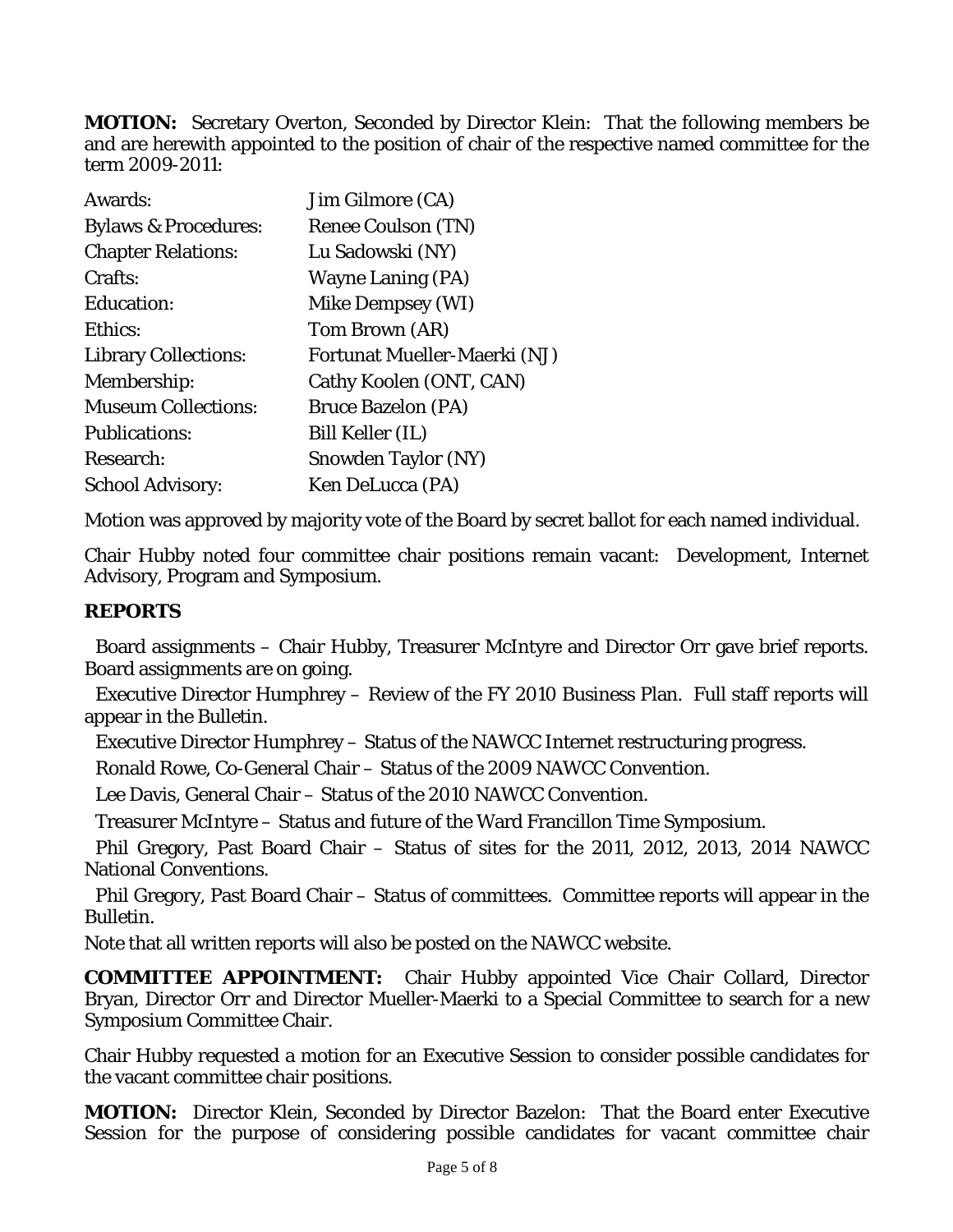**MOTION:** Secretary Overton, Seconded by Director Klein: That the following members be and are herewith appointed to the position of chair of the respective named committee for the term 2009-2011:

| Awards:                         | Jim Gilmore (CA)             |
|---------------------------------|------------------------------|
| <b>Bylaws &amp; Procedures:</b> | <b>Renee Coulson (TN)</b>    |
| <b>Chapter Relations:</b>       | Lu Sadowski (NY)             |
| Crafts:                         | <b>Wayne Laning (PA)</b>     |
| Education:                      | <b>Mike Dempsey (WI)</b>     |
| Ethics:                         | Tom Brown (AR)               |
| <b>Library Collections:</b>     | Fortunat Mueller-Maerki (NJ) |
| Membership:                     | Cathy Koolen (ONT, CAN)      |
| <b>Museum Collections:</b>      | <b>Bruce Bazelon (PA)</b>    |
| <b>Publications:</b>            | <b>Bill Keller (IL)</b>      |
| Research:                       | <b>Snowden Taylor (NY)</b>   |
| <b>School Advisory:</b>         | Ken DeLucca (PA)             |

Motion was approved by majority vote of the Board by secret ballot for each named individual.

Chair Hubby noted four committee chair positions remain vacant: Development, Internet Advisory, Program and Symposium.

# **REPORTS**

Board assignments – Chair Hubby, Treasurer McIntyre and Director Orr gave brief reports. Board assignments are on going.

Executive Director Humphrey – Review of the FY 2010 Business Plan. Full staff reports will appear in the *Bulletin.* 

Executive Director Humphrey – Status of the NAWCC Internet restructuring progress.

Ronald Rowe, Co-General Chair – Status of the 2009 NAWCC Convention.

Lee Davis, General Chair – Status of the 2010 NAWCC Convention.

Treasurer McIntyre – Status and future of the Ward Francillon Time Symposium.

Phil Gregory, Past Board Chair – Status of sites for the 2011, 2012, 2013, 2014 NAWCC National Conventions.

Phil Gregory, Past Board Chair – Status of committees. Committee reports will appear in the *Bulletin.* 

Note that all written reports will also be posted on the NAWCC website.

**COMMITTEE APPOINTMENT:** Chair Hubby appointed Vice Chair Collard, Director Bryan, Director Orr and Director Mueller-Maerki to a Special Committee to search for a new Symposium Committee Chair.

Chair Hubby requested a motion for an Executive Session to consider possible candidates for the vacant committee chair positions.

**MOTION:** Director Klein, Seconded by Director Bazelon: That the Board enter Executive Session for the purpose of considering possible candidates for vacant committee chair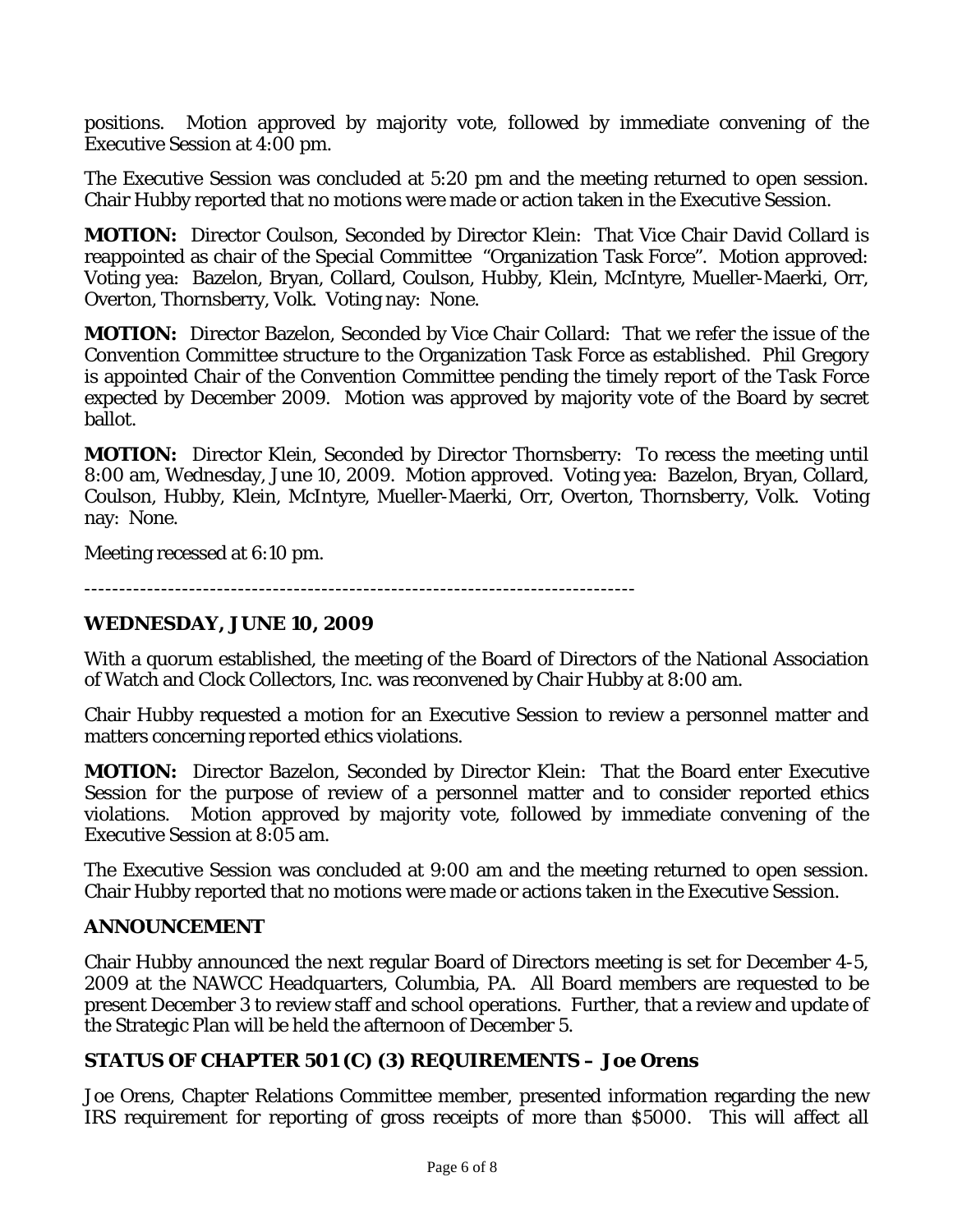positions. Motion approved by majority vote, followed by immediate convening of the Executive Session at 4:00 pm.

The Executive Session was concluded at 5:20 pm and the meeting returned to open session. Chair Hubby reported that no motions were made or action taken in the Executive Session.

**MOTION:** Director Coulson, Seconded by Director Klein: That Vice Chair David Collard is reappointed as chair of the Special Committee "Organization Task Force". Motion approved: Voting yea: Bazelon, Bryan, Collard, Coulson, Hubby, Klein, McIntyre, Mueller-Maerki, Orr, Overton, Thornsberry, Volk. Voting nay: None.

**MOTION:** Director Bazelon, Seconded by Vice Chair Collard: That we refer the issue of the Convention Committee structure to the Organization Task Force as established. Phil Gregory is appointed Chair of the Convention Committee pending the timely report of the Task Force expected by December 2009. Motion was approved by majority vote of the Board by secret ballot.

**MOTION:** Director Klein, Seconded by Director Thornsberry: To recess the meeting until 8:00 am, Wednesday, June 10, 2009. Motion approved. Voting yea: Bazelon, Bryan, Collard, Coulson, Hubby, Klein, McIntyre, Mueller-Maerki, Orr, Overton, Thornsberry, Volk. Voting nay: None.

Meeting recessed at 6:10 pm.

-------------------------------------------------------------------------------

#### **WEDNESDAY, JUNE 10, 2009**

With a quorum established, the meeting of the Board of Directors of the National Association of Watch and Clock Collectors, Inc. was reconvened by Chair Hubby at 8:00 am.

Chair Hubby requested a motion for an Executive Session to review a personnel matter and matters concerning reported ethics violations.

**MOTION:** Director Bazelon, Seconded by Director Klein: That the Board enter Executive Session for the purpose of review of a personnel matter and to consider reported ethics violations. Motion approved by majority vote, followed by immediate convening of the Executive Session at 8:05 am.

The Executive Session was concluded at 9:00 am and the meeting returned to open session. Chair Hubby reported that no motions were made or actions taken in the Executive Session.

#### **ANNOUNCEMENT**

Chair Hubby announced the next regular Board of Directors meeting is set for December 4-5, 2009 at the NAWCC Headquarters, Columbia, PA. All Board members are requested to be present December 3 to review staff and school operations. Further, that a review and update of the Strategic Plan will be held the afternoon of December 5.

## **STATUS OF CHAPTER 501 (C) (3) REQUIREMENTS – Joe Orens**

Joe Orens, Chapter Relations Committee member, presented information regarding the new IRS requirement for reporting of gross receipts of more than \$5000. This will affect all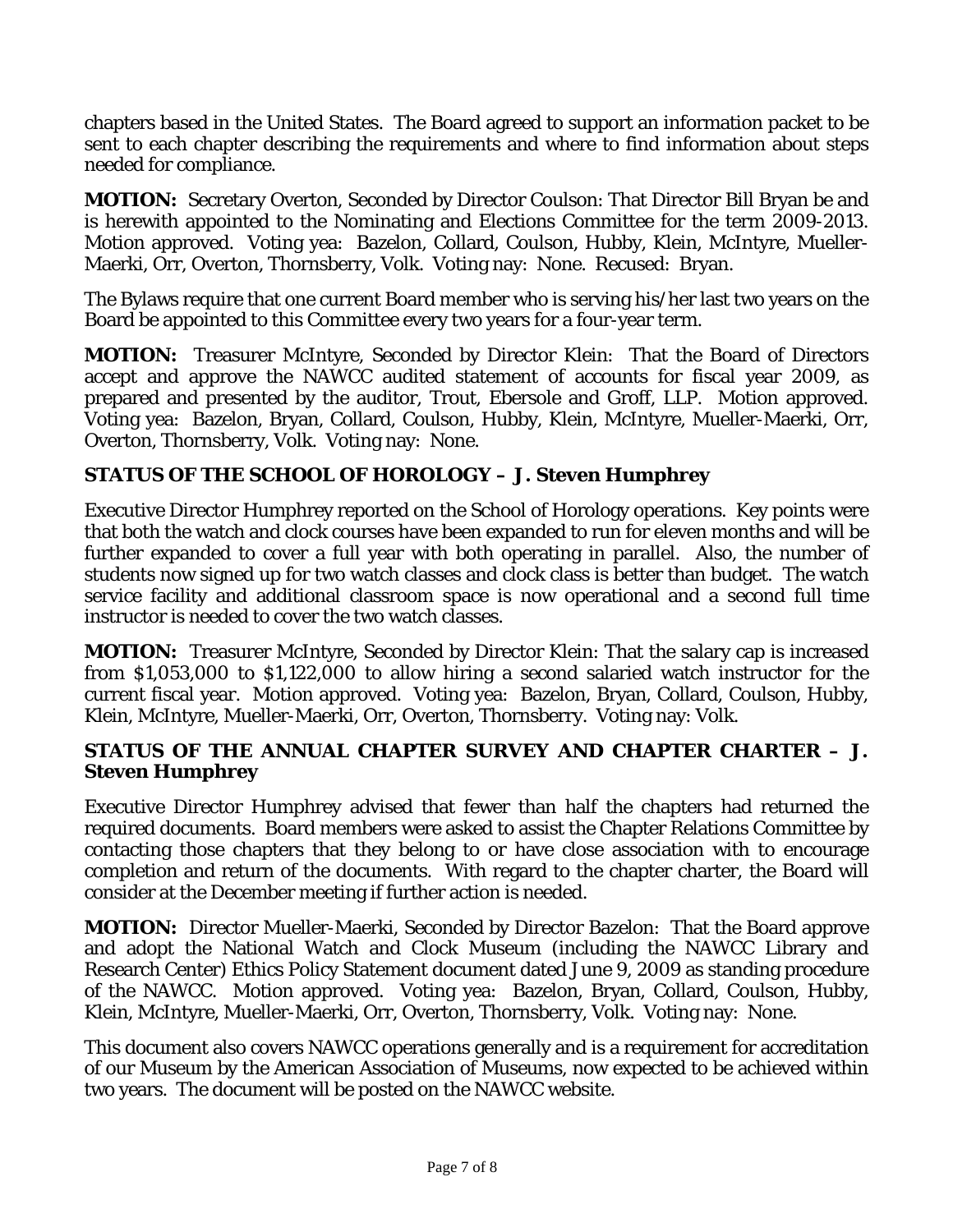chapters based in the United States. The Board agreed to support an information packet to be sent to each chapter describing the requirements and where to find information about steps needed for compliance.

**MOTION:** Secretary Overton, Seconded by Director Coulson: That Director Bill Bryan be and is herewith appointed to the Nominating and Elections Committee for the term 2009-2013. Motion approved. Voting yea: Bazelon, Collard, Coulson, Hubby, Klein, McIntyre, Mueller-Maerki, Orr, Overton, Thornsberry, Volk. Voting nay: None. Recused: Bryan.

The Bylaws require that one current Board member who is serving his/her last two years on the Board be appointed to this Committee every two years for a four-year term.

**MOTION:** Treasurer McIntyre, Seconded by Director Klein: That the Board of Directors accept and approve the NAWCC audited statement of accounts for fiscal year 2009, as prepared and presented by the auditor, Trout, Ebersole and Groff, LLP. Motion approved. Voting yea: Bazelon, Bryan, Collard, Coulson, Hubby, Klein, McIntyre, Mueller-Maerki, Orr, Overton, Thornsberry, Volk. Voting nay: None.

# **STATUS OF THE SCHOOL OF HOROLOGY – J. Steven Humphrey**

Executive Director Humphrey reported on the School of Horology operations. Key points were that both the watch and clock courses have been expanded to run for eleven months and will be further expanded to cover a full year with both operating in parallel. Also, the number of students now signed up for two watch classes and clock class is better than budget. The watch service facility and additional classroom space is now operational and a second full time instructor is needed to cover the two watch classes.

**MOTION:** Treasurer McIntyre, Seconded by Director Klein: That the salary cap is increased from \$1,053,000 to \$1,122,000 to allow hiring a second salaried watch instructor for the current fiscal year. Motion approved. Voting yea: Bazelon, Bryan, Collard, Coulson, Hubby, Klein, McIntyre, Mueller-Maerki, Orr, Overton, Thornsberry. Voting nay: Volk.

#### **STATUS OF THE ANNUAL CHAPTER SURVEY AND CHAPTER CHARTER – J. Steven Humphrey**

Executive Director Humphrey advised that fewer than half the chapters had returned the required documents. Board members were asked to assist the Chapter Relations Committee by contacting those chapters that they belong to or have close association with to encourage completion and return of the documents. With regard to the chapter charter, the Board will consider at the December meeting if further action is needed.

**MOTION:** Director Mueller-Maerki, Seconded by Director Bazelon: That the Board approve and adopt the National Watch and Clock Museum (including the NAWCC Library and Research Center) Ethics Policy Statement document dated June 9, 2009 as standing procedure of the NAWCC. Motion approved. Voting yea: Bazelon, Bryan, Collard, Coulson, Hubby, Klein, McIntyre, Mueller-Maerki, Orr, Overton, Thornsberry, Volk. Voting nay: None.

This document also covers NAWCC operations generally and is a requirement for accreditation of our Museum by the American Association of Museums, now expected to be achieved within two years. The document will be posted on the NAWCC website.